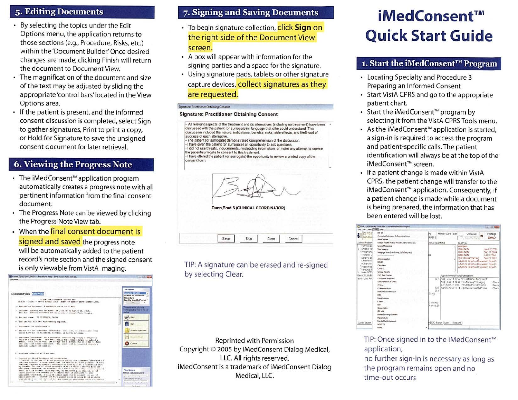### 5. Editing Documents

- By selecting the topics under the Edit Options menu, the application returns to those sections (e.g., Procedure, Risks, etc.) within the 'Document Builder.' Once desired changes are made, clicking Finish will return the document to Document View.
- The magnification of the document and size of the text may be adjusted by sliding the appropriate 'control bars' located in the View Options area.
- If the patient is present, and the informed consent discussion is completed, select Sign to gather signatures, Print to print a copy, or Hold for Signature to save the unsigned consent document for later retrieval.

# **6. Viewing the Progress Note**

- The iMedConsent<sup>™</sup> application program automatically creates a progress note with all pertinent information from the final consent document.
- The Progress Note can be viewed by clicking the Progress Note View tab.
- When the final consent document is signed and saved the progress note will be automatically added to the patient record's note section and the signed consent is only viewable from VistA Imaging.



## 7. Signing and Saving Documents

- To begin signature collection, click Sign on the right side of the Document View screen.
- A box will appear with information for the signing parties and a space for the signature.
- Using signature pads, tablets or other signature capture devices, collect signatures as they are requested.

#### Signature: Practitioner Obtaining Consent

### **Signature: Practitioner Obtaining Consent**

All relevant aspects of the treatment and its alternatives (including no treatment) have been discussed with the patient (or surrogate) in language that s/he could understand. This discussion included the nature, indications, benefits, risks, side effects, and likelihood of success of each alternative. The patient (or surrogate) demonstrated comprehension of the discussion I have given the patient (or surrogate) an opportunity to ask questions

I did not use threats, inducements, misleading information, or make any attempt to coerce the patient/surrogate to consent to this treatment - I have offered the patient (or surrogate) the opportunity to review a printed copy of the consent form



Dunn, Brad S (CLINICAL COORDINATOR)

Seve Skip Clear Cancel

TIP: A signature can be erased and re-signed by selecting Clear.

Reprinted with Permission Copyright © 2005 by iMedConsent Dialog Medical, LLC. All rights reserved. iMedConsent is a trademark of iMedConsent Dialog Medical, LLC.

# iMedConsent™ **Quick Start Guide**

### 1. Start the iMedConsent™ Program

- Locating Specialty and Procedure 3 Preparing an Informed Consent
- Start VistA CPRS and go to the appropriate patient chart.
- Start the iMedConsent™ program by selecting it from the VistA CPRS Tools menu.
- As the iMedConsent<sup>™</sup> application is started. a sign-in is required to access the program and patient-specific calls. The patient identification will always be at the top of the iMedConsent™ screen.
- If a patient change is made within VistA CPRS, the patient change will transfer to the iMedConsent™ application. Consequently, if a patient change is made while a document is being prepared, the information that has been entered will be lost.



TIP: Once signed in to the iMedConsent™ application,

no further sign-in is necessary as long as the program remains open and no time-out occurs